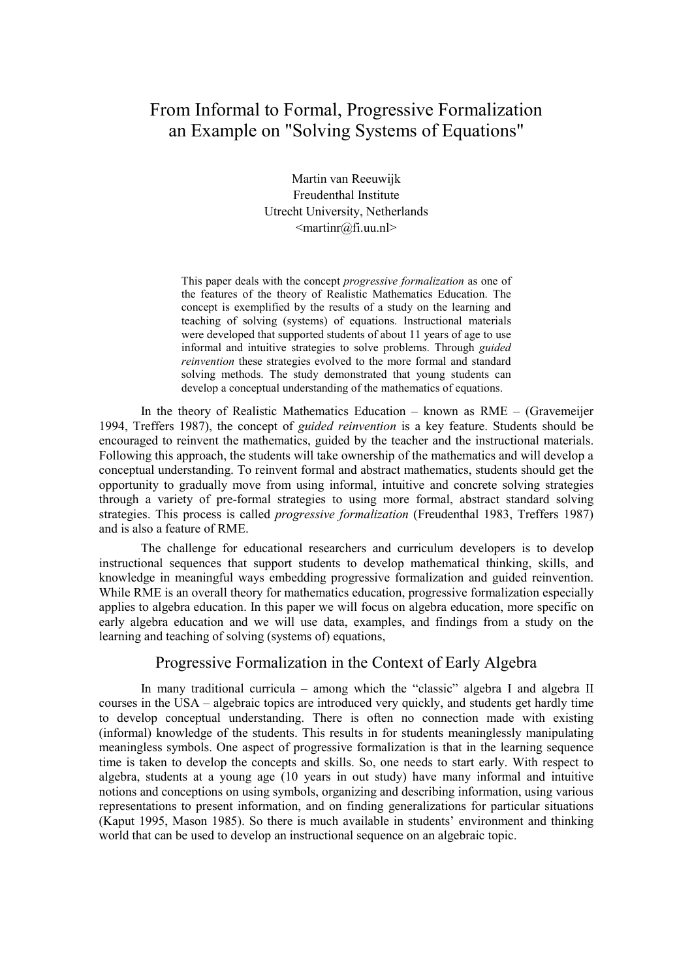# From Informal to Formal, Progressive Formalization an Example on "Solving Systems of Equations"

Martin van Reeuwijk Freudenthal Institute Utrecht University, Netherlands <martinr@fi.uu.nl>

This paper deals with the concept *progressive formalization* as one of the features of the theory of Realistic Mathematics Education. The concept is exemplified by the results of a study on the learning and teaching of solving (systems) of equations. Instructional materials were developed that supported students of about 11 years of age to use informal and intuitive strategies to solve problems. Through *guided reinvention* these strategies evolved to the more formal and standard solving methods. The study demonstrated that young students can develop a conceptual understanding of the mathematics of equations.

In the theory of Realistic Mathematics Education – known as RME – (Gravemeijer 1994, Treffers 1987), the concept of *guided reinvention* is a key feature. Students should be encouraged to reinvent the mathematics, guided by the teacher and the instructional materials. Following this approach, the students will take ownership of the mathematics and will develop a conceptual understanding. To reinvent formal and abstract mathematics, students should get the opportunity to gradually move from using informal, intuitive and concrete solving strategies through a variety of pre-formal strategies to using more formal, abstract standard solving strategies. This process is called *progressive formalization* (Freudenthal 1983, Treffers 1987) and is also a feature of RME.

The challenge for educational researchers and curriculum developers is to develop instructional sequences that support students to develop mathematical thinking, skills, and knowledge in meaningful ways embedding progressive formalization and guided reinvention. While RME is an overall theory for mathematics education, progressive formalization especially applies to algebra education. In this paper we will focus on algebra education, more specific on early algebra education and we will use data, examples, and findings from a study on the learning and teaching of solving (systems of) equations,

# Progressive Formalization in the Context of Early Algebra

In many traditional curricula – among which the "classic" algebra I and algebra II courses in the USA – algebraic topics are introduced very quickly, and students get hardly time to develop conceptual understanding. There is often no connection made with existing (informal) knowledge of the students. This results in for students meaninglessly manipulating meaningless symbols. One aspect of progressive formalization is that in the learning sequence time is taken to develop the concepts and skills. So, one needs to start early. With respect to algebra, students at a young age (10 years in out study) have many informal and intuitive notions and conceptions on using symbols, organizing and describing information, using various representations to present information, and on finding generalizations for particular situations (Kaput 1995, Mason 1985). So there is much available in students' environment and thinking world that can be used to develop an instructional sequence on an algebraic topic.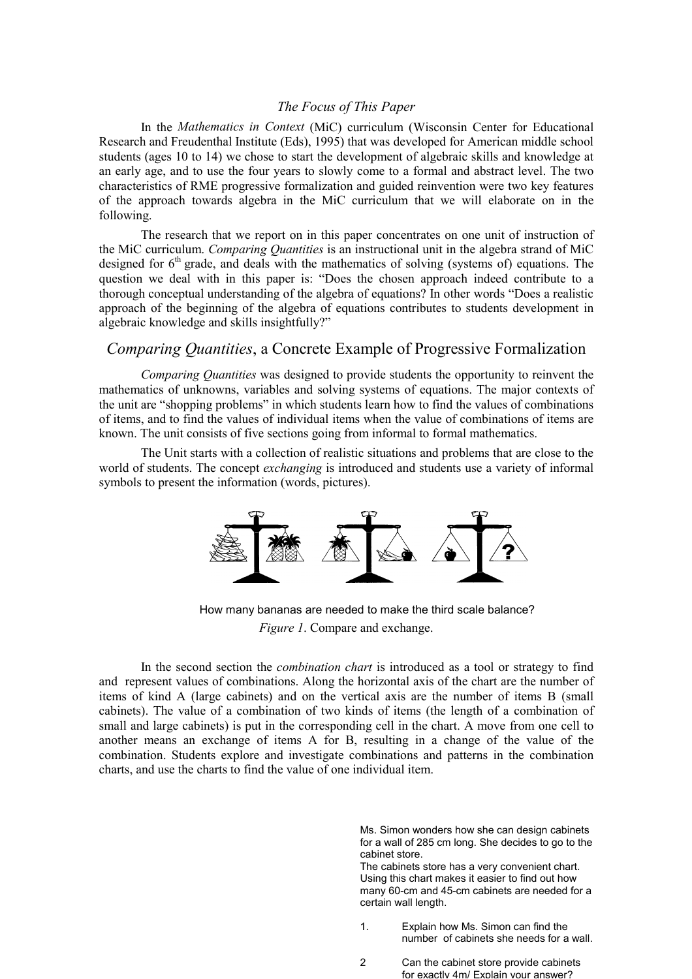### *The Focus of This Paper*

In the *Mathematics in Context* (MiC) curriculum (Wisconsin Center for Educational Research and Freudenthal Institute (Eds), 1995) that was developed for American middle school students (ages 10 to 14) we chose to start the development of algebraic skills and knowledge at an early age, and to use the four years to slowly come to a formal and abstract level. The two characteristics of RME progressive formalization and guided reinvention were two key features of the approach towards algebra in the MiC curriculum that we will elaborate on in the following.

The research that we report on in this paper concentrates on one unit of instruction of the MiC curriculum. *Comparing Quantities* is an instructional unit in the algebra strand of MiC designed for  $6<sup>th</sup>$  grade, and deals with the mathematics of solving (systems of) equations. The question we deal with in this paper is: "Does the chosen approach indeed contribute to a thorough conceptual understanding of the algebra of equations? In other words "Does a realistic approach of the beginning of the algebra of equations contributes to students development in algebraic knowledge and skills insightfully?"

## *Comparing Quantities*, a Concrete Example of Progressive Formalization

*Comparing Quantities* was designed to provide students the opportunity to reinvent the mathematics of unknowns, variables and solving systems of equations. The major contexts of the unit are "shopping problems" in which students learn how to find the values of combinations of items, and to find the values of individual items when the value of combinations of items are known. The unit consists of five sections going from informal to formal mathematics.

The Unit starts with a collection of realistic situations and problems that are close to the world of students. The concept *exchanging* is introduced and students use a variety of informal symbols to present the information (words, pictures).



How many bananas are needed to make the third scale balance? *Figure 1*. Compare and exchange.

In the second section the *combination chart* is introduced as a tool or strategy to find and represent values of combinations. Along the horizontal axis of the chart are the number of items of kind A (large cabinets) and on the vertical axis are the number of items B (small cabinets). The value of a combination of two kinds of items (the length of a combination of small and large cabinets) is put in the corresponding cell in the chart. A move from one cell to another means an exchange of items A for B, resulting in a change of the value of the combination. Students explore and investigate combinations and patterns in the combination charts, and use the charts to find the value of one individual item.

> Ms. Simon wonders how she can design cabinets for a wall of 285 cm long. She decides to go to the cabinet store.

> The cabinets store has a very convenient chart. Using this chart makes it easier to find out how many 60-cm and 45-cm cabinets are needed for a certain wall length.

- 1. Explain how Ms. Simon can find the number of cabinets she needs for a wall.
- 2 Can the cabinet store provide cabinets for exactly 4m/ Explain your answer?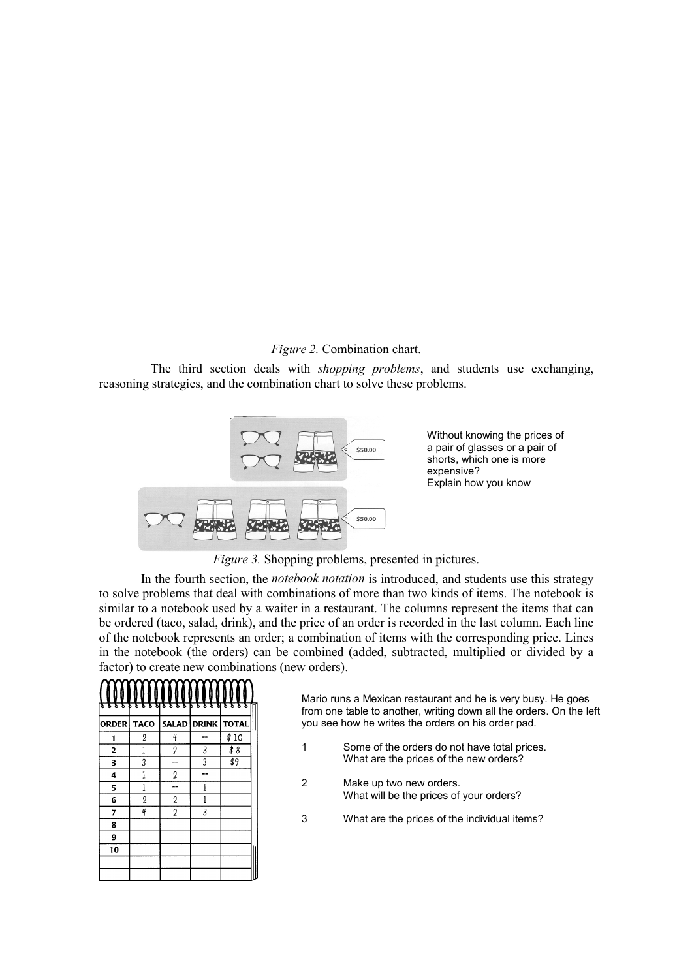# *Figure 2.* Combination chart.

The third section deals with *shopping problems*, and students use exchanging, reasoning strategies, and the combination chart to solve these problems.



Without knowing the prices of a pair of glasses or a pair of shorts, which one is more expensive? Explain how you know

*Figure 3.* Shopping problems, presented in pictures.

In the fourth section, the *notebook notation* is introduced, and students use this strategy to solve problems that deal with combinations of more than two kinds of items. The notebook is similar to a notebook used by a waiter in a restaurant. The columns represent the items that can be ordered (taco, salad, drink), and the price of an order is recorded in the last column. Each line of the notebook represents an order; a combination of items with the corresponding price. Lines in the notebook (the orders) can be combined (added, subtracted, multiplied or divided by a factor) to create new combinations (new orders).

| ъ            | Ы<br>Б         | δ<br>δ<br>ъ    | g           | Ъ            |  |
|--------------|----------------|----------------|-------------|--------------|--|
| <b>ORDER</b> | <b>TACO</b>    |                | SALAD DRINK | <b>TOTAL</b> |  |
| 1            | $\overline{2}$ | 4              |             | \$10         |  |
| 2            | 1              | $\overline{2}$ | 3           | \$8          |  |
| 3            | 3              |                | 3           | \$9          |  |
| 4            | 1              | $\overline{2}$ |             |              |  |
| 5            | 1              | --             | 1           |              |  |
| 6            | $\overline{2}$ | $\overline{2}$ | 1           |              |  |
| 7            | 4              | $\overline{2}$ | 3           |              |  |
| 8            |                |                |             |              |  |
| 9            |                |                |             |              |  |
| 10           |                |                |             |              |  |
|              |                |                |             |              |  |
|              |                |                |             |              |  |

Mario runs a Mexican restaurant and he is very busy. He goes from one table to another, writing down all the orders. On the left you see how he writes the orders on his order pad.

- 1 Some of the orders do not have total prices. What are the prices of the new orders?
- 2 Make up two new orders. What will be the prices of your orders?
- 3 What are the prices of the individual items?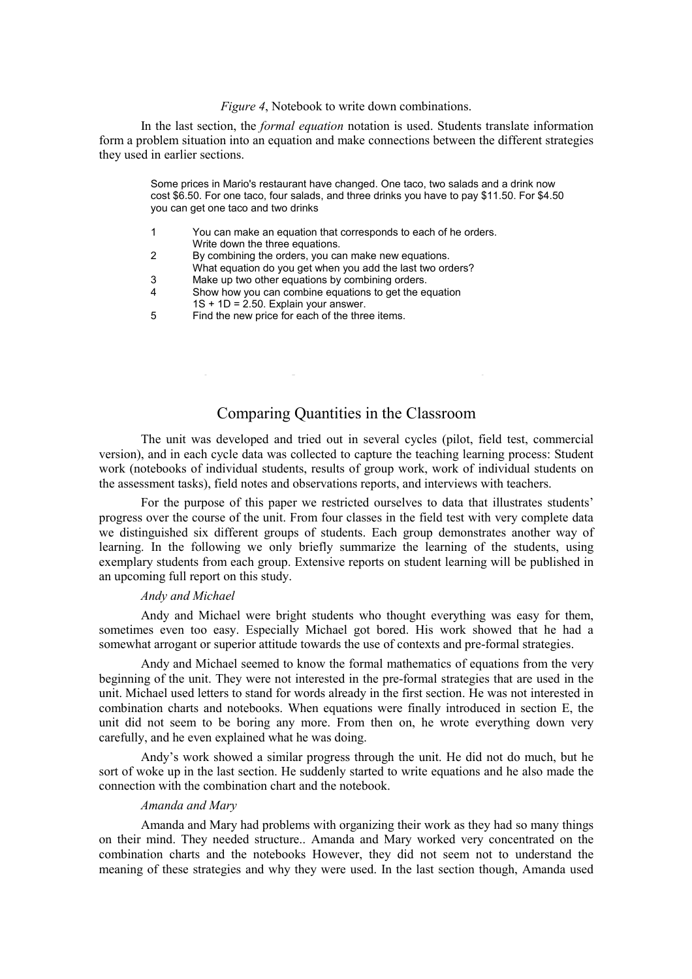#### *Figure 4*, Notebook to write down combinations.

In the last section, the *formal equation* notation is used. Students translate information form a problem situation into an equation and make connections between the different strategies they used in earlier sections.

> Some prices in Mario's restaurant have changed. One taco, two salads and a drink now cost \$6.50. For one taco, four salads, and three drinks you have to pay \$11.50. For \$4.50 you can get one taco and two drinks

- 1 You can make an equation that corresponds to each of he orders. Write down the three equations.
- 2 By combining the orders, you can make new equations.
- What equation do you get when you add the last two orders? 3 Make up two other equations by combining orders.
- 4 Show how you can combine equations to get the equation
- $1S + 1D = 2.50$ . Explain your answer.
- 5 Find the new price for each of the three items.

# Comparing Quantities in the Classroom

The unit was developed and tried out in several cycles (pilot, field test, commercial version), and in each cycle data was collected to capture the teaching learning process: Student work (notebooks of individual students, results of group work, work of individual students on the assessment tasks), field notes and observations reports, and interviews with teachers.

For the purpose of this paper we restricted ourselves to data that illustrates students' progress over the course of the unit. From four classes in the field test with very complete data we distinguished six different groups of students. Each group demonstrates another way of learning. In the following we only briefly summarize the learning of the students, using exemplary students from each group. Extensive reports on student learning will be published in an upcoming full report on this study.

#### *Andy and Michael*

Andy and Michael were bright students who thought everything was easy for them, sometimes even too easy. Especially Michael got bored. His work showed that he had a somewhat arrogant or superior attitude towards the use of contexts and pre-formal strategies.

Andy and Michael seemed to know the formal mathematics of equations from the very beginning of the unit. They were not interested in the pre-formal strategies that are used in the unit. Michael used letters to stand for words already in the first section. He was not interested in combination charts and notebooks. When equations were finally introduced in section E, the unit did not seem to be boring any more. From then on, he wrote everything down very carefully, and he even explained what he was doing.

Andy's work showed a similar progress through the unit. He did not do much, but he sort of woke up in the last section. He suddenly started to write equations and he also made the connection with the combination chart and the notebook.

#### *Amanda and Mary*

Amanda and Mary had problems with organizing their work as they had so many things on their mind. They needed structure.. Amanda and Mary worked very concentrated on the combination charts and the notebooks However, they did not seem not to understand the meaning of these strategies and why they were used. In the last section though, Amanda used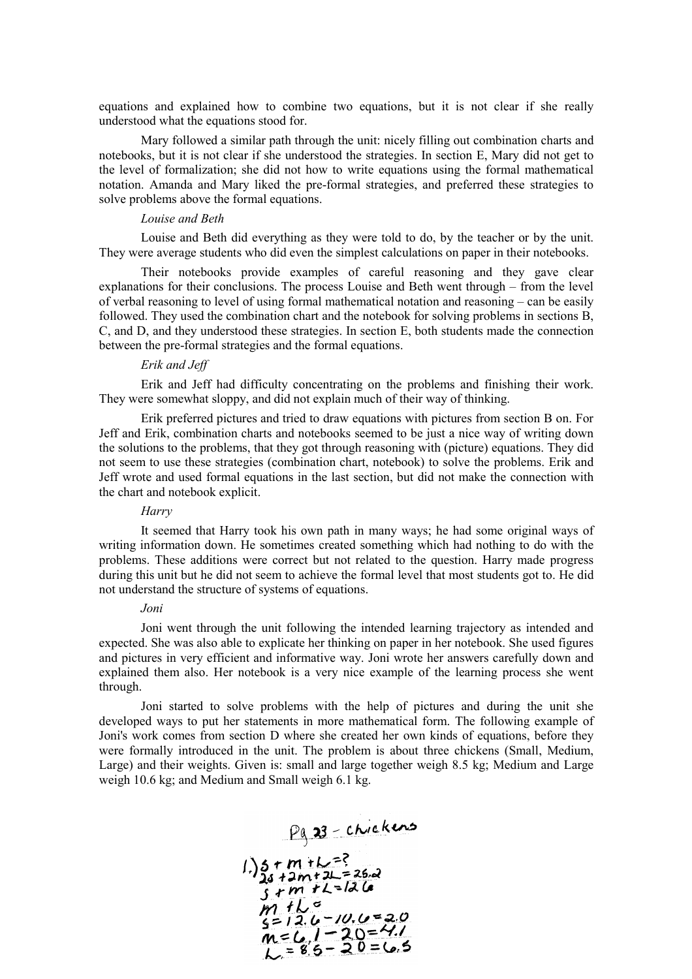equations and explained how to combine two equations, but it is not clear if she really understood what the equations stood for.

Mary followed a similar path through the unit: nicely filling out combination charts and notebooks, but it is not clear if she understood the strategies. In section E, Mary did not get to the level of formalization; she did not how to write equations using the formal mathematical notation. Amanda and Mary liked the pre-formal strategies, and preferred these strategies to solve problems above the formal equations.

#### *Louise and Beth*

Louise and Beth did everything as they were told to do, by the teacher or by the unit. They were average students who did even the simplest calculations on paper in their notebooks.

Their notebooks provide examples of careful reasoning and they gave clear explanations for their conclusions. The process Louise and Beth went through – from the level of verbal reasoning to level of using formal mathematical notation and reasoning – can be easily followed. They used the combination chart and the notebook for solving problems in sections B, C, and D, and they understood these strategies. In section E, both students made the connection between the pre-formal strategies and the formal equations.

#### *Erik and Jeff*

Erik and Jeff had difficulty concentrating on the problems and finishing their work. They were somewhat sloppy, and did not explain much of their way of thinking.

Erik preferred pictures and tried to draw equations with pictures from section B on. For Jeff and Erik, combination charts and notebooks seemed to be just a nice way of writing down the solutions to the problems, that they got through reasoning with (picture) equations. They did not seem to use these strategies (combination chart, notebook) to solve the problems. Erik and Jeff wrote and used formal equations in the last section, but did not make the connection with the chart and notebook explicit.

#### *Harry*

It seemed that Harry took his own path in many ways; he had some original ways of writing information down. He sometimes created something which had nothing to do with the problems. These additions were correct but not related to the question. Harry made progress during this unit but he did not seem to achieve the formal level that most students got to. He did not understand the structure of systems of equations.

#### *Joni*

Joni went through the unit following the intended learning trajectory as intended and expected. She was also able to explicate her thinking on paper in her notebook. She used figures and pictures in very efficient and informative way. Joni wrote her answers carefully down and explained them also. Her notebook is a very nice example of the learning process she went through.

Joni started to solve problems with the help of pictures and during the unit she developed ways to put her statements in more mathematical form. The following example of Joni's work comes from section D where she created her own kinds of equations, before they were formally introduced in the unit. The problem is about three chickens (Small, Medium, Large) and their weights. Given is: small and large together weigh 8.5 kg; Medium and Large weigh 10.6 kg; and Medium and Small weigh 6.1 kg.

$$
\frac{\rho_0}{\rho_1} = \frac{23 - \text{chickens}}{24 + 2m + 2k} = \frac{26.2}{26}
$$
\n1) 24 + 2m + 2k = 26.2\n  
\n1) 1 k = 12.6\n  
\n1) 1 k = 12.6\n  
\n1) 1 k = 12.0\n  
\n10 = 12.0\n  
\n10 = 20\n  
\n10 = 20\n  
\n11.0\n  
\n12.0\n  
\n13.0\n  
\n14.0\n  
\n15.0\n  
\n16.0\n  
\n17.0\n  
\n18.0\n  
\n19.0\n  
\n10.0\n  
\n10.0\n  
\n11.0\n  
\n12.0\n  
\n13.0\n  
\n14.0\n  
\n15.0\n  
\n16.0\n  
\n17.0\n  
\n18.0\n  
\n19.0\n  
\n10.0\n  
\n10.0\n  
\n11.0\n  
\n12.0\n  
\n13.0\n  
\n14.0\n  
\n15.0\n  
\n16.0\n  
\n17.0\n  
\n18.0\n  
\n19.0\n  
\n10.0\n  
\n10.0\n  
\n10.0\n  
\n10.0\n  
\n10.0\n  
\n10.0\n  
\n10.0\n  
\n10.0\n  
\n10.0\n  
\n10.0\n  
\n10.0\n  
\n10.0\n  
\n10.0\n  
\n10.0\n  
\n10.0\n  
\n10.0\n  
\n10.0\n  
\n10.0\n  
\n10.0\n  
\n10.0\n  
\n10.0\n  
\n10.0\n  
\n10.0\n  
\n10.0\n  
\n10.0\n  
\n10.0\n  
\n10.0\n  
\n10.0\n  
\n10.0\n  
\n10.0\n  
\n10.0\n  
\n10.0\n  
\n10.0\n  
\n10.0\n  
\n10.0\n  
\n10.0\n  
\n10.0\n  
\n10.0\n  
\n10.0\n  
\n10.0\n  
\n10.0\n  
\n10.0\n  
\n10.0\n  
\n10.0\n  
\n10.0\n  
\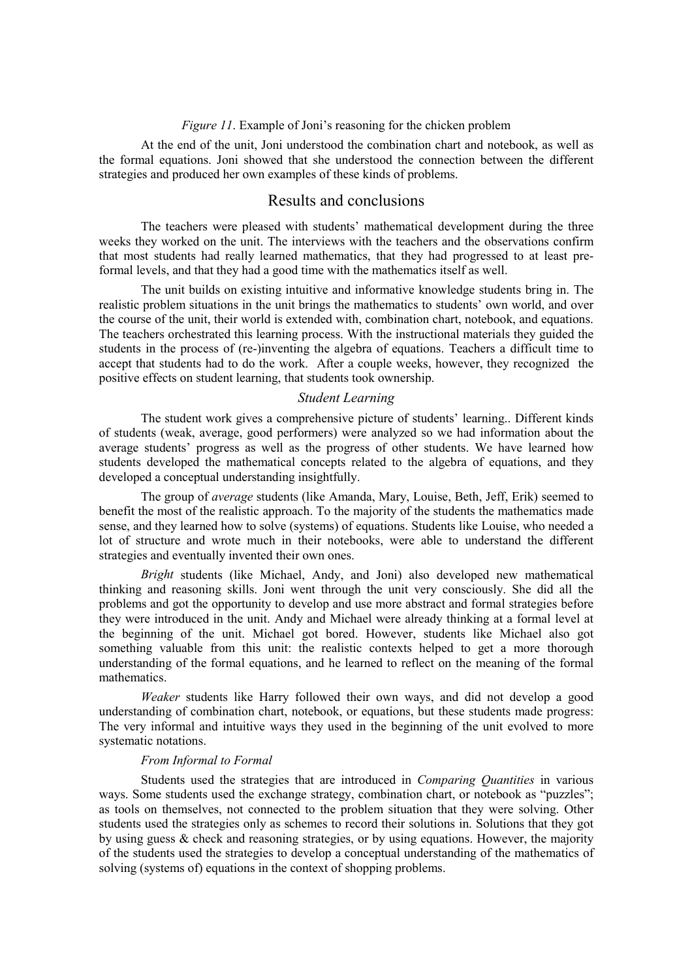#### *Figure 11*. Example of Joni's reasoning for the chicken problem

At the end of the unit, Joni understood the combination chart and notebook, as well as the formal equations. Joni showed that she understood the connection between the different strategies and produced her own examples of these kinds of problems.

# Results and conclusions

The teachers were pleased with students' mathematical development during the three weeks they worked on the unit. The interviews with the teachers and the observations confirm that most students had really learned mathematics, that they had progressed to at least preformal levels, and that they had a good time with the mathematics itself as well.

The unit builds on existing intuitive and informative knowledge students bring in. The realistic problem situations in the unit brings the mathematics to students' own world, and over the course of the unit, their world is extended with, combination chart, notebook, and equations. The teachers orchestrated this learning process. With the instructional materials they guided the students in the process of (re-)inventing the algebra of equations. Teachers a difficult time to accept that students had to do the work. After a couple weeks, however, they recognized the positive effects on student learning, that students took ownership.

#### *Student Learning*

The student work gives a comprehensive picture of students' learning.. Different kinds of students (weak, average, good performers) were analyzed so we had information about the average students' progress as well as the progress of other students. We have learned how students developed the mathematical concepts related to the algebra of equations, and they developed a conceptual understanding insightfully.

The group of *average* students (like Amanda, Mary, Louise, Beth, Jeff, Erik) seemed to benefit the most of the realistic approach. To the majority of the students the mathematics made sense, and they learned how to solve (systems) of equations. Students like Louise, who needed a lot of structure and wrote much in their notebooks, were able to understand the different strategies and eventually invented their own ones.

*Bright* students (like Michael, Andy, and Joni) also developed new mathematical thinking and reasoning skills. Joni went through the unit very consciously. She did all the problems and got the opportunity to develop and use more abstract and formal strategies before they were introduced in the unit. Andy and Michael were already thinking at a formal level at the beginning of the unit. Michael got bored. However, students like Michael also got something valuable from this unit: the realistic contexts helped to get a more thorough understanding of the formal equations, and he learned to reflect on the meaning of the formal mathematics.

*Weaker* students like Harry followed their own ways, and did not develop a good understanding of combination chart, notebook, or equations, but these students made progress: The very informal and intuitive ways they used in the beginning of the unit evolved to more systematic notations.

#### *From Informal to Formal*

Students used the strategies that are introduced in *Comparing Quantities* in various ways. Some students used the exchange strategy, combination chart, or notebook as "puzzles"; as tools on themselves, not connected to the problem situation that they were solving. Other students used the strategies only as schemes to record their solutions in. Solutions that they got by using guess  $\&$  check and reasoning strategies, or by using equations. However, the majority of the students used the strategies to develop a conceptual understanding of the mathematics of solving (systems of) equations in the context of shopping problems.